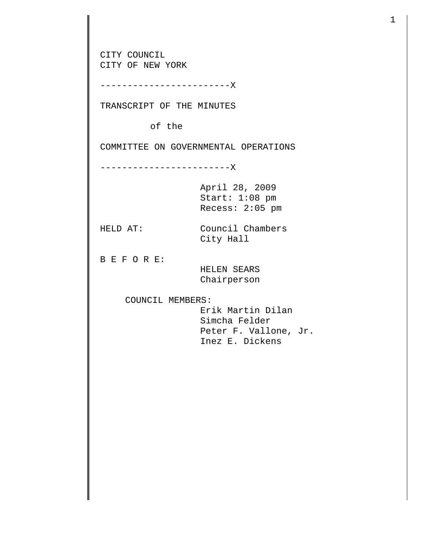CITY COUNCIL CITY OF NEW YORK ------------------------X TRANSCRIPT OF THE MINUTES of the COMMITTEE ON GOVERNMENTAL OPERATIONS ------------------------X April 28, 2009 Start: 1:08 pm Recess: 2:05 pm HELD AT: Council Chambers City Hall B E F O R E: HELEN SEARS Chairperson COUNCIL MEMBERS: Erik Martin Dilan Simcha Felder Peter F. Vallone, Jr. Inez E. Dickens

1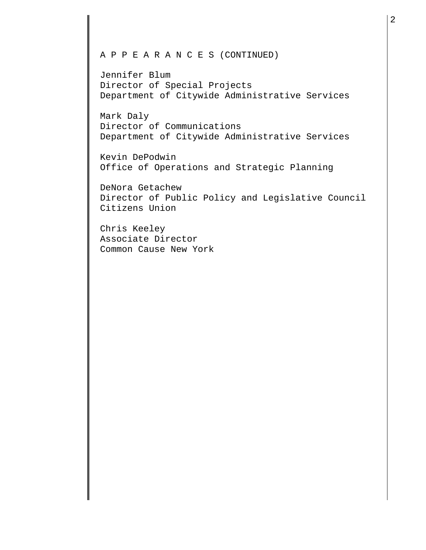## A P P E A R A N C E S (CONTINUED)

Jennifer Blum Director of Special Projects Department of Citywide Administrative Services

Mark Daly Director of Communications Department of Citywide Administrative Services

Kevin DePodwin Office of Operations and Strategic Planning

DeNora Getachew Director of Public Policy and Legislative Council Citizens Union

Chris Keeley Associate Director Common Cause New York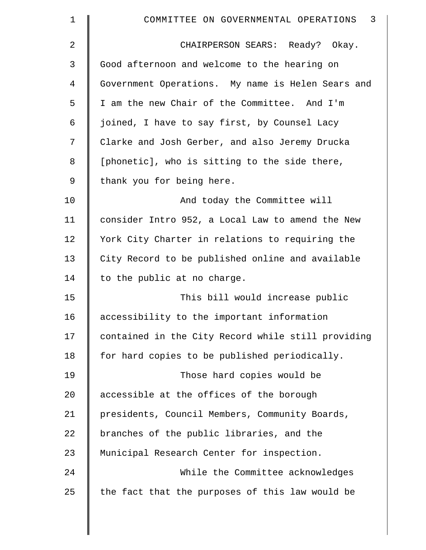| $\mathbf 1$ | 3<br>COMMITTEE ON GOVERNMENTAL OPERATIONS          |
|-------------|----------------------------------------------------|
| 2           | CHAIRPERSON SEARS: Ready? Okay.                    |
| 3           | Good afternoon and welcome to the hearing on       |
| 4           | Government Operations. My name is Helen Sears and  |
| 5           | I am the new Chair of the Committee. And I'm       |
| 6           | joined, I have to say first, by Counsel Lacy       |
| 7           | Clarke and Josh Gerber, and also Jeremy Drucka     |
| 8           | [phonetic], who is sitting to the side there,      |
| 9           | thank you for being here.                          |
| 10          | And today the Committee will                       |
| 11          | consider Intro 952, a Local Law to amend the New   |
| 12          | York City Charter in relations to requiring the    |
| 13          | City Record to be published online and available   |
| 14          | to the public at no charge.                        |
| 15          | This bill would increase public                    |
| 16          | accessibility to the important information         |
| 17          | contained in the City Record while still providing |
| 18          | for hard copies to be published periodically.      |
| 19          | Those hard copies would be                         |
| 20          | accessible at the offices of the borough           |
| 21          | presidents, Council Members, Community Boards,     |
| 22          | branches of the public libraries, and the          |
| 23          | Municipal Research Center for inspection.          |
| 24          | While the Committee acknowledges                   |
| 25          | the fact that the purposes of this law would be    |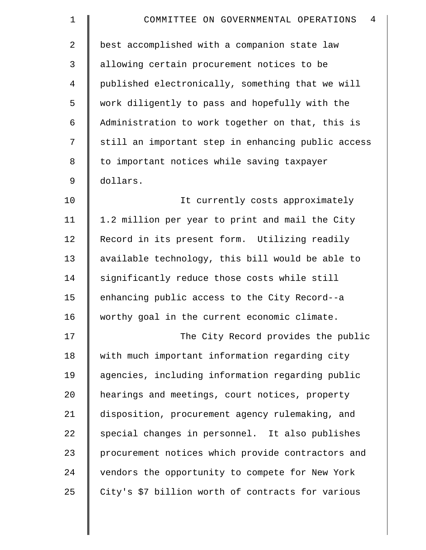| $\mathbf 1$ | $\overline{4}$<br>COMMITTEE ON GOVERNMENTAL OPERATIONS |
|-------------|--------------------------------------------------------|
| 2           | best accomplished with a companion state law           |
| 3           | allowing certain procurement notices to be             |
| 4           | published electronically, something that we will       |
| 5           | work diligently to pass and hopefully with the         |
| 6           | Administration to work together on that, this is       |
| 7           | still an important step in enhancing public access     |
| 8           | to important notices while saving taxpayer             |
| 9           | dollars.                                               |
| 10          | It currently costs approximately                       |
| 11          | 1.2 million per year to print and mail the City        |
| 12          | Record in its present form. Utilizing readily          |
| 13          | available technology, this bill would be able to       |
| 14          | significantly reduce those costs while still           |
| 15          | enhancing public access to the City Record--a          |
| 16          | worthy goal in the current economic climate.           |
| 17          | The City Record provides the public                    |
| 18          | with much important information regarding city         |
| 19          | agencies, including information regarding public       |
| 20          | hearings and meetings, court notices, property         |
| 21          | disposition, procurement agency rulemaking, and        |
| 22          | special changes in personnel. It also publishes        |
| 23          | procurement notices which provide contractors and      |
| 24          | vendors the opportunity to compete for New York        |
| 25          | City's \$7 billion worth of contracts for various      |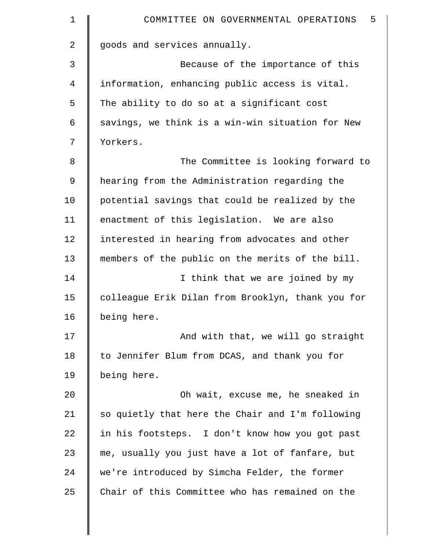| $\mathbf 1$ | 5<br>COMMITTEE ON GOVERNMENTAL OPERATIONS         |
|-------------|---------------------------------------------------|
| 2           | goods and services annually.                      |
| 3           | Because of the importance of this                 |
| 4           | information, enhancing public access is vital.    |
| 5           | The ability to do so at a significant cost        |
| 6           | savings, we think is a win-win situation for New  |
| 7           | Yorkers.                                          |
| 8           | The Committee is looking forward to               |
| 9           | hearing from the Administration regarding the     |
| 10          | potential savings that could be realized by the   |
| 11          | enactment of this legislation. We are also        |
| 12          | interested in hearing from advocates and other    |
| 13          | members of the public on the merits of the bill.  |
| 14          | I think that we are joined by my                  |
| 15          | colleague Erik Dilan from Brooklyn, thank you for |
| 16          | being here.                                       |
| 17          | And with that, we will go straight                |
| 18          | to Jennifer Blum from DCAS, and thank you for     |
| 19          | being here.                                       |
| 20          | Oh wait, excuse me, he sneaked in                 |
| 21          | so quietly that here the Chair and I'm following  |
| 22          | in his footsteps. I don't know how you got past   |
| 23          | me, usually you just have a lot of fanfare, but   |
| 24          | we're introduced by Simcha Felder, the former     |
| 25          | Chair of this Committee who has remained on the   |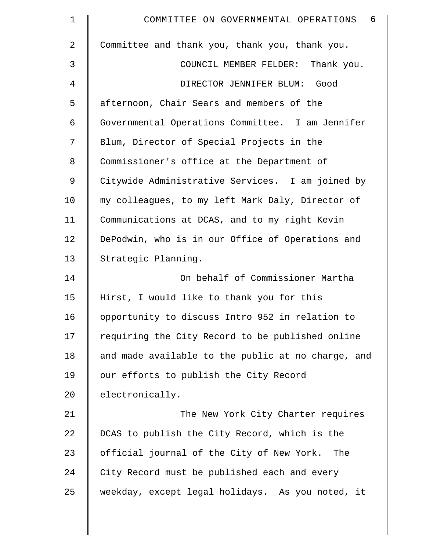| $\mathbf 1$    | - 6<br>COMMITTEE ON GOVERNMENTAL OPERATIONS        |
|----------------|----------------------------------------------------|
| $\overline{2}$ | Committee and thank you, thank you, thank you.     |
| 3              | COUNCIL MEMBER FELDER: Thank you.                  |
| 4              | DIRECTOR JENNIFER BLUM: Good                       |
| 5              | afternoon, Chair Sears and members of the          |
| 6              | Governmental Operations Committee. I am Jennifer   |
| 7              | Blum, Director of Special Projects in the          |
| 8              | Commissioner's office at the Department of         |
| 9              | Citywide Administrative Services. I am joined by   |
| 10             | my colleagues, to my left Mark Daly, Director of   |
| 11             | Communications at DCAS, and to my right Kevin      |
| 12             | DePodwin, who is in our Office of Operations and   |
| 13             | Strategic Planning.                                |
| 14             | On behalf of Commissioner Martha                   |
| 15             | Hirst, I would like to thank you for this          |
| 16             | opportunity to discuss Intro 952 in relation to    |
| 17             | requiring the City Record to be published online   |
| 18             | and made available to the public at no charge, and |
| 19             | our efforts to publish the City Record             |
| 20             | electronically.                                    |
| 21             | The New York City Charter requires                 |
| 22             | DCAS to publish the City Record, which is the      |
| 23             | official journal of the City of New York. The      |
| 24             | City Record must be published each and every       |
| 25             | weekday, except legal holidays. As you noted, it   |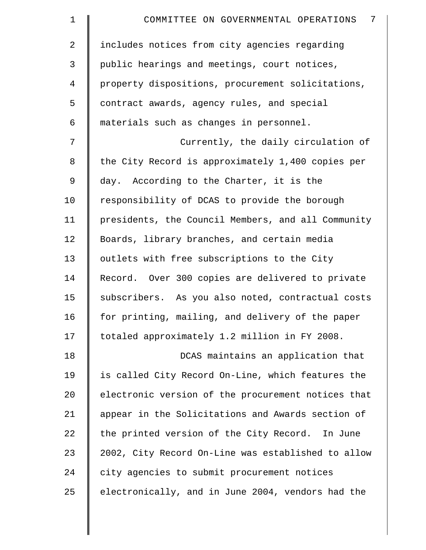| $\mathbf 1$    | 7<br>COMMITTEE ON GOVERNMENTAL OPERATIONS          |
|----------------|----------------------------------------------------|
| $\overline{2}$ | includes notices from city agencies regarding      |
| 3              | public hearings and meetings, court notices,       |
| 4              | property dispositions, procurement solicitations,  |
| 5              | contract awards, agency rules, and special         |
| 6              | materials such as changes in personnel.            |
| 7              | Currently, the daily circulation of                |
| 8              | the City Record is approximately 1,400 copies per  |
| 9              | day. According to the Charter, it is the           |
| 10             | responsibility of DCAS to provide the borough      |
| 11             | presidents, the Council Members, and all Community |
| 12             | Boards, library branches, and certain media        |
| 13             | outlets with free subscriptions to the City        |
| 14             | Record. Over 300 copies are delivered to private   |
| 15             | subscribers. As you also noted, contractual costs  |
| 16             | for printing, mailing, and delivery of the paper   |
| 17             | totaled approximately 1.2 million in FY 2008.      |
| 18             | DCAS maintains an application that                 |
| 19             | is called City Record On-Line, which features the  |
| 20             | electronic version of the procurement notices that |
| 21             | appear in the Solicitations and Awards section of  |
| 22             | the printed version of the City Record. In June    |
| 23             | 2002, City Record On-Line was established to allow |
| 24             | city agencies to submit procurement notices        |
| 25             | electronically, and in June 2004, vendors had the  |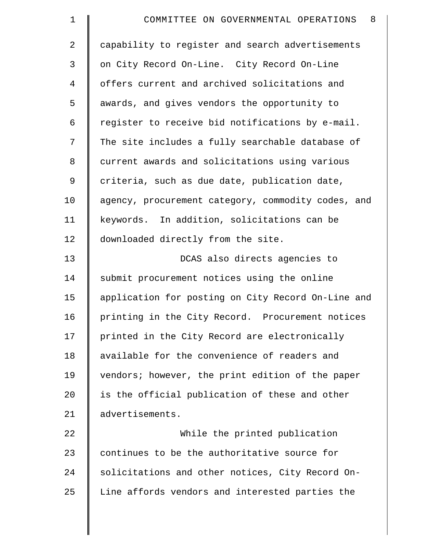| $\mathbf 1$    | 8<br>COMMITTEE ON GOVERNMENTAL OPERATIONS          |
|----------------|----------------------------------------------------|
| $\overline{2}$ | capability to register and search advertisements   |
| 3              | on City Record On-Line. City Record On-Line        |
| 4              | offers current and archived solicitations and      |
| 5              | awards, and gives vendors the opportunity to       |
| 6              | register to receive bid notifications by e-mail.   |
| 7              | The site includes a fully searchable database of   |
| 8              | current awards and solicitations using various     |
| 9              | criteria, such as due date, publication date,      |
| 10             | agency, procurement category, commodity codes, and |
| 11             | keywords. In addition, solicitations can be        |
| 12             | downloaded directly from the site.                 |
| 13             | DCAS also directs agencies to                      |
| 14             | submit procurement notices using the online        |
| 15             | application for posting on City Record On-Line and |
| 16             | printing in the City Record. Procurement notices   |
| 17             | printed in the City Record are electronically      |
| 18             | available for the convenience of readers and       |
| 19             | vendors; however, the print edition of the paper   |
| 20             | is the official publication of these and other     |
| 21             | advertisements.                                    |
| 22             | While the printed publication                      |
| 23             | continues to be the authoritative source for       |
| 24             | solicitations and other notices, City Record On-   |
| 25             | Line affords vendors and interested parties the    |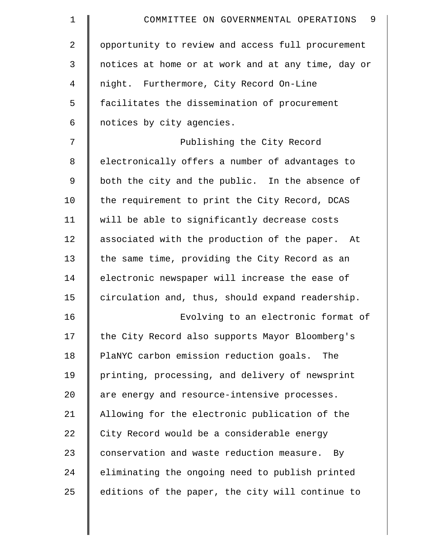| $\mathbf 1$    | 9<br>COMMITTEE ON GOVERNMENTAL OPERATIONS          |
|----------------|----------------------------------------------------|
| $\overline{2}$ | opportunity to review and access full procurement  |
| 3              | notices at home or at work and at any time, day or |
| 4              | night. Furthermore, City Record On-Line            |
| 5              | facilitates the dissemination of procurement       |
| 6              | notices by city agencies.                          |
| 7              | Publishing the City Record                         |
| 8              | electronically offers a number of advantages to    |
| 9              | both the city and the public. In the absence of    |
| 10             | the requirement to print the City Record, DCAS     |
| 11             | will be able to significantly decrease costs       |
| 12             | associated with the production of the paper. At    |
| 13             | the same time, providing the City Record as an     |
| 14             | electronic newspaper will increase the ease of     |
| 15             | circulation and, thus, should expand readership.   |
| 16             | Evolving to an electronic format of                |
| 17             | the City Record also supports Mayor Bloomberg's    |
| 18             | PlaNYC carbon emission reduction goals.<br>The     |
| 19             | printing, processing, and delivery of newsprint    |
| 20             | are energy and resource-intensive processes.       |
| 21             | Allowing for the electronic publication of the     |
| 22             | City Record would be a considerable energy         |
| 23             | conservation and waste reduction measure. By       |
| 24             | eliminating the ongoing need to publish printed    |
| 25             | editions of the paper, the city will continue to   |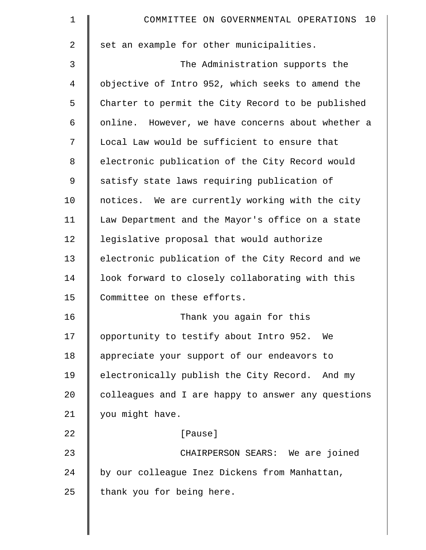| $\mathbf 1$ | COMMITTEE ON GOVERNMENTAL OPERATIONS 10            |
|-------------|----------------------------------------------------|
| 2           | set an example for other municipalities.           |
| 3           | The Administration supports the                    |
| 4           | objective of Intro 952, which seeks to amend the   |
| 5           | Charter to permit the City Record to be published  |
| 6           | online. However, we have concerns about whether a  |
| 7           | Local Law would be sufficient to ensure that       |
| 8           | electronic publication of the City Record would    |
| 9           | satisfy state laws requiring publication of        |
| 10          | notices. We are currently working with the city    |
| 11          | Law Department and the Mayor's office on a state   |
| 12          | legislative proposal that would authorize          |
| 13          | electronic publication of the City Record and we   |
| 14          | look forward to closely collaborating with this    |
| 15          | Committee on these efforts.                        |
| 16          | Thank you again for this                           |
| 17          | opportunity to testify about Intro 952. We         |
| 18          | appreciate your support of our endeavors to        |
| 19          | electronically publish the City Record. And my     |
| 20          | colleagues and I are happy to answer any questions |
| 21          | you might have.                                    |
| 22          | [Pause]                                            |
| 23          | CHAIRPERSON SEARS: We are joined                   |
| 24          | by our colleague Inez Dickens from Manhattan,      |
| 25          | thank you for being here.                          |
|             |                                                    |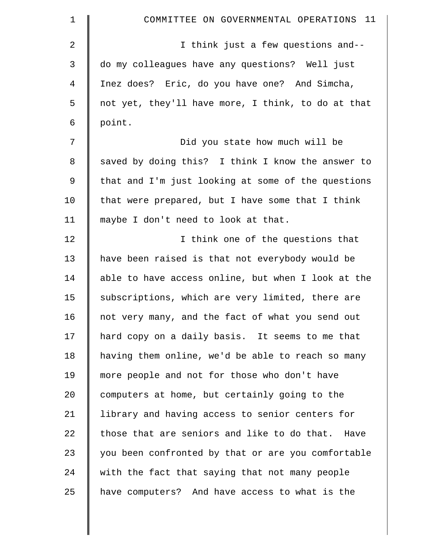| 1  | COMMITTEE ON GOVERNMENTAL OPERATIONS 11            |
|----|----------------------------------------------------|
| 2  | I think just a few questions and--                 |
| 3  | do my colleagues have any questions? Well just     |
| 4  | Inez does? Eric, do you have one? And Simcha,      |
| 5  | not yet, they'll have more, I think, to do at that |
| 6  | point.                                             |
| 7  | Did you state how much will be                     |
| 8  | saved by doing this? I think I know the answer to  |
| 9  | that and I'm just looking at some of the questions |
| 10 | that were prepared, but I have some that I think   |
| 11 | maybe I don't need to look at that.                |
| 12 | I think one of the questions that                  |
| 13 | have been raised is that not everybody would be    |
| 14 | able to have access online, but when I look at the |
| 15 | subscriptions, which are very limited, there are   |
| 16 | not very many, and the fact of what you send out   |
| 17 | hard copy on a daily basis. It seems to me that    |
| 18 | having them online, we'd be able to reach so many  |
| 19 | more people and not for those who don't have       |
| 20 | computers at home, but certainly going to the      |
| 21 | library and having access to senior centers for    |
| 22 | those that are seniors and like to do that. Have   |
| 23 | you been confronted by that or are you comfortable |
| 24 | with the fact that saying that not many people     |
| 25 | have computers? And have access to what is the     |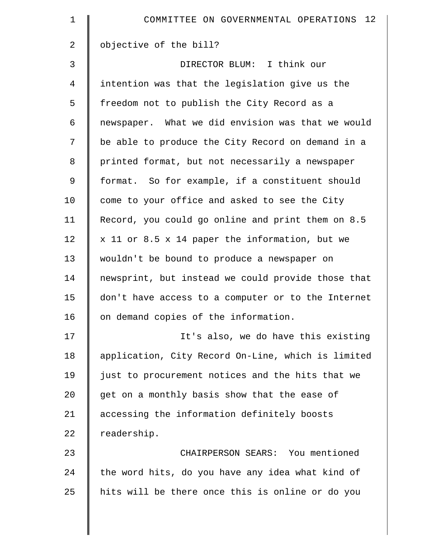| $\mathbf 1$    | COMMITTEE ON GOVERNMENTAL OPERATIONS 12            |
|----------------|----------------------------------------------------|
| $\overline{2}$ | objective of the bill?                             |
| 3              | DIRECTOR BLUM: I think our                         |
| $\overline{4}$ | intention was that the legislation give us the     |
| 5              | freedom not to publish the City Record as a        |
| 6              | newspaper. What we did envision was that we would  |
| 7              | be able to produce the City Record on demand in a  |
| 8              | printed format, but not necessarily a newspaper    |
| 9              | format. So for example, if a constituent should    |
| 10             | come to your office and asked to see the City      |
| 11             | Record, you could go online and print them on 8.5  |
| 12             | x 11 or 8.5 x 14 paper the information, but we     |
| 13             | wouldn't be bound to produce a newspaper on        |
| 14             | newsprint, but instead we could provide those that |
| 15             | don't have access to a computer or to the Internet |
| 16             | on demand copies of the information.               |
| 17             | It's also, we do have this existing                |
| 18             | application, City Record On-Line, which is limited |
| 19             | just to procurement notices and the hits that we   |
| 20             | get on a monthly basis show that the ease of       |
| 21             | accessing the information definitely boosts        |
| 22             | readership.                                        |
| 23             | CHAIRPERSON SEARS: You mentioned                   |
| 24             | the word hits, do you have any idea what kind of   |
| 25             | hits will be there once this is online or do you   |
|                |                                                    |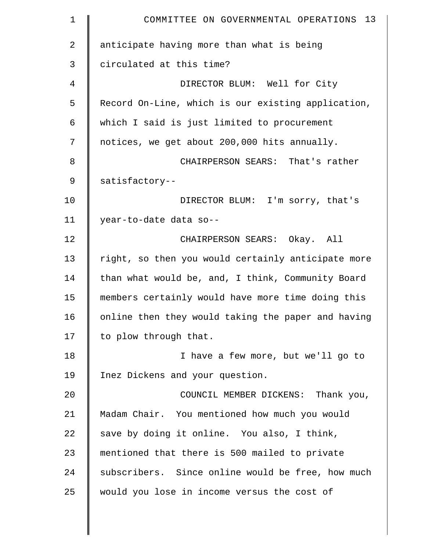| $\mathbf 1$    | COMMITTEE ON GOVERNMENTAL OPERATIONS 13            |
|----------------|----------------------------------------------------|
| $\overline{2}$ | anticipate having more than what is being          |
| 3              | circulated at this time?                           |
| 4              | DIRECTOR BLUM: Well for City                       |
| 5              | Record On-Line, which is our existing application, |
| 6              | which I said is just limited to procurement        |
| 7              | notices, we get about 200,000 hits annually.       |
| 8              | CHAIRPERSON SEARS: That's rather                   |
| 9              | satisfactory--                                     |
| 10             | DIRECTOR BLUM: I'm sorry, that's                   |
| 11             | year-to-date data so--                             |
| 12             | CHAIRPERSON SEARS: Okay. All                       |
| 13             | right, so then you would certainly anticipate more |
| 14             | than what would be, and, I think, Community Board  |
| 15             | members certainly would have more time doing this  |
| 16             | online then they would taking the paper and having |
| 17             | to plow through that.                              |
| 18             | I have a few more, but we'll go to                 |
| 19             | Inez Dickens and your question.                    |
| 20             | COUNCIL MEMBER DICKENS: Thank you,                 |
| 21             | Madam Chair. You mentioned how much you would      |
| 22             | save by doing it online. You also, I think,        |
| 23             | mentioned that there is 500 mailed to private      |
| 24             | subscribers. Since online would be free, how much  |
| 25             | would you lose in income versus the cost of        |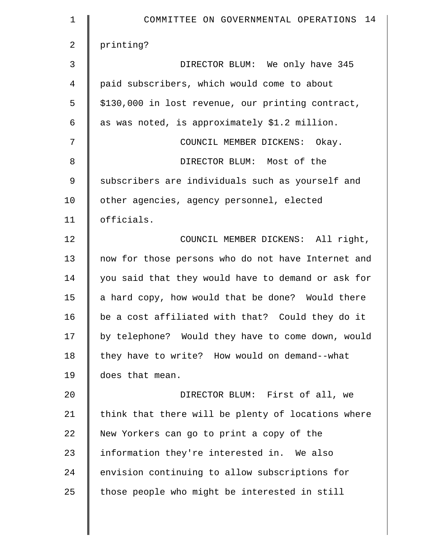| $\mathbf 1$    | COMMITTEE ON GOVERNMENTAL OPERATIONS 14            |
|----------------|----------------------------------------------------|
| $\overline{2}$ | printing?                                          |
| 3              | DIRECTOR BLUM: We only have 345                    |
| 4              | paid subscribers, which would come to about        |
| 5              | \$130,000 in lost revenue, our printing contract,  |
| $\epsilon$     | as was noted, is approximately \$1.2 million.      |
| 7              | COUNCIL MEMBER DICKENS: Okay.                      |
| 8              | DIRECTOR BLUM: Most of the                         |
| $\mathsf 9$    | subscribers are individuals such as yourself and   |
| 10             | other agencies, agency personnel, elected          |
| 11             | officials.                                         |
| 12             | COUNCIL MEMBER DICKENS: All right,                 |
| 13             | now for those persons who do not have Internet and |
| 14             | you said that they would have to demand or ask for |
| 15             | a hard copy, how would that be done? Would there   |
| 16             | be a cost affiliated with that? Could they do it   |
| 17             | by telephone? Would they have to come down, would  |
| 18             | they have to write? How would on demand--what      |
| 19             | does that mean.                                    |
| 20             | DIRECTOR BLUM: First of all, we                    |
| 21             | think that there will be plenty of locations where |
| 22             | New Yorkers can go to print a copy of the          |
| 23             | information they're interested in. We also         |
| 24             | envision continuing to allow subscriptions for     |
| 25             | those people who might be interested in still      |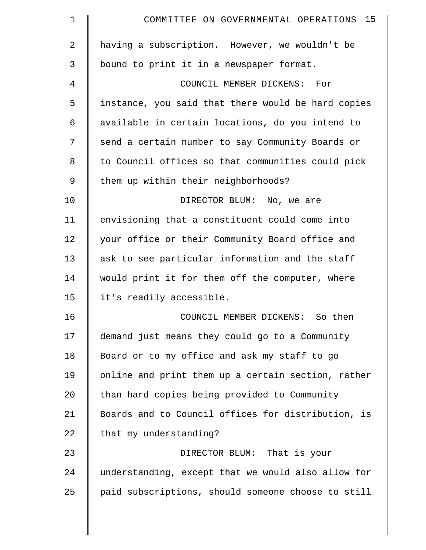| 1  | COMMITTEE ON GOVERNMENTAL OPERATIONS 15            |
|----|----------------------------------------------------|
| 2  | having a subscription. However, we wouldn't be     |
| 3  | bound to print it in a newspaper format.           |
| 4  | COUNCIL MEMBER DICKENS: For                        |
| 5  | instance, you said that there would be hard copies |
| 6  | available in certain locations, do you intend to   |
| 7  | send a certain number to say Community Boards or   |
| 8  | to Council offices so that communities could pick  |
| 9  | them up within their neighborhoods?                |
| 10 | DIRECTOR BLUM: No, we are                          |
| 11 | envisioning that a constituent could come into     |
| 12 | your office or their Community Board office and    |
| 13 | ask to see particular information and the staff    |
| 14 | would print it for them off the computer, where    |
| 15 | it's readily accessible.                           |
| 16 | COUNCIL MEMBER DICKENS: So then                    |
| 17 | demand just means they could go to a Community     |
| 18 | Board or to my office and ask my staff to go       |
| 19 | online and print them up a certain section, rather |
| 20 | than hard copies being provided to Community       |
| 21 | Boards and to Council offices for distribution, is |
| 22 | that my understanding?                             |
| 23 | DIRECTOR BLUM: That is your                        |
| 24 | understanding, except that we would also allow for |
| 25 | paid subscriptions, should someone choose to still |
|    |                                                    |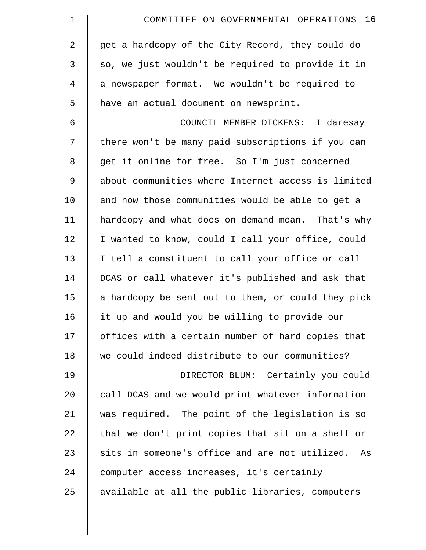| $\mathbf 1$    | COMMITTEE ON GOVERNMENTAL OPERATIONS 16              |
|----------------|------------------------------------------------------|
| $\overline{a}$ | get a hardcopy of the City Record, they could do     |
| 3              | so, we just wouldn't be required to provide it in    |
| 4              | a newspaper format. We wouldn't be required to       |
| 5              | have an actual document on newsprint.                |
| 6              | COUNCIL MEMBER DICKENS: I daresay                    |
| 7              | there won't be many paid subscriptions if you can    |
| 8              | get it online for free. So I'm just concerned        |
| 9              | about communities where Internet access is limited   |
| 10             | and how those communities would be able to get a     |
| 11             | hardcopy and what does on demand mean. That's why    |
| 12             | I wanted to know, could I call your office, could    |
| 13             | I tell a constituent to call your office or call     |
| 14             | DCAS or call whatever it's published and ask that    |
| 15             | a hardcopy be sent out to them, or could they pick   |
| 16             | it up and would you be willing to provide our        |
| 17             | offices with a certain number of hard copies that    |
| 18             | we could indeed distribute to our communities?       |
| 19             | DIRECTOR BLUM: Certainly you could                   |
| 20             | call DCAS and we would print whatever information    |
| 21             | was required. The point of the legislation is so     |
| 22             | that we don't print copies that sit on a shelf or    |
| 23             | sits in someone's office and are not utilized.<br>As |
| 24             | computer access increases, it's certainly            |
| 25             | available at all the public libraries, computers     |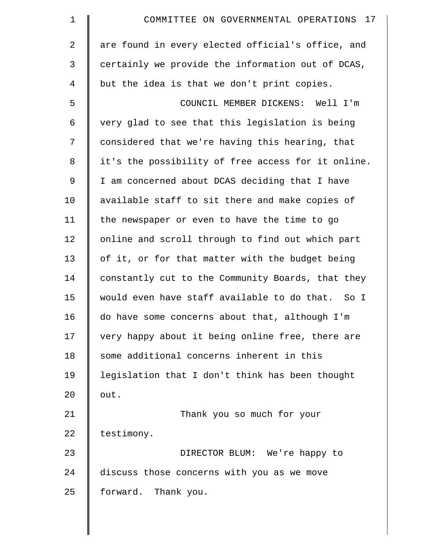| $\mathbf 1$ | COMMITTEE ON GOVERNMENTAL OPERATIONS 17            |
|-------------|----------------------------------------------------|
| 2           | are found in every elected official's office, and  |
| 3           | certainly we provide the information out of DCAS,  |
| 4           | but the idea is that we don't print copies.        |
| 5           | COUNCIL MEMBER DICKENS: Well I'm                   |
| 6           | very glad to see that this legislation is being    |
| 7           | considered that we're having this hearing, that    |
| 8           | it's the possibility of free access for it online. |
| 9           | I am concerned about DCAS deciding that I have     |
| 10          | available staff to sit there and make copies of    |
| 11          | the newspaper or even to have the time to go       |
| 12          | online and scroll through to find out which part   |
| 13          | of it, or for that matter with the budget being    |
| 14          | constantly cut to the Community Boards, that they  |
| 15          | would even have staff available to do that. So I   |
| 16          | do have some concerns about that, although I'm     |
| 17          | very happy about it being online free, there are   |
| 18          | some additional concerns inherent in this          |
| 19          | legislation that I don't think has been thought    |
| 20          | out.                                               |
| 21          | Thank you so much for your                         |
| 22          | testimony.                                         |
| 23          | DIRECTOR BLUM: We're happy to                      |
| 24          | discuss those concerns with you as we move         |
| 25          | forward. Thank you.                                |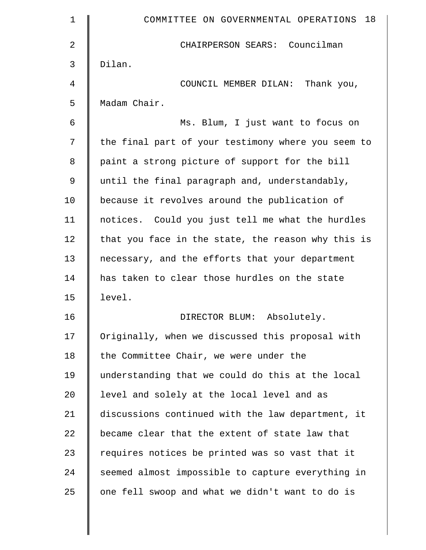| 1  | 18<br>COMMITTEE ON GOVERNMENTAL OPERATIONS         |
|----|----------------------------------------------------|
| 2  | CHAIRPERSON SEARS: Councilman                      |
| 3  | Dilan.                                             |
| 4  | COUNCIL MEMBER DILAN: Thank you,                   |
| 5  | Madam Chair.                                       |
| 6  | Ms. Blum, I just want to focus on                  |
| 7  | the final part of your testimony where you seem to |
| 8  | paint a strong picture of support for the bill     |
| 9  | until the final paragraph and, understandably,     |
| 10 | because it revolves around the publication of      |
| 11 | notices. Could you just tell me what the hurdles   |
| 12 | that you face in the state, the reason why this is |
| 13 | necessary, and the efforts that your department    |
| 14 | has taken to clear those hurdles on the state      |
| 15 | level.                                             |
| 16 | Absolutely.<br>DIRECTOR BLUM:                      |
| 17 | Originally, when we discussed this proposal with   |
| 18 | the Committee Chair, we were under the             |
| 19 | understanding that we could do this at the local   |
| 20 | level and solely at the local level and as         |
| 21 | discussions continued with the law department, it  |
| 22 | became clear that the extent of state law that     |
| 23 | requires notices be printed was so vast that it    |
| 24 | seemed almost impossible to capture everything in  |
| 25 | one fell swoop and what we didn't want to do is    |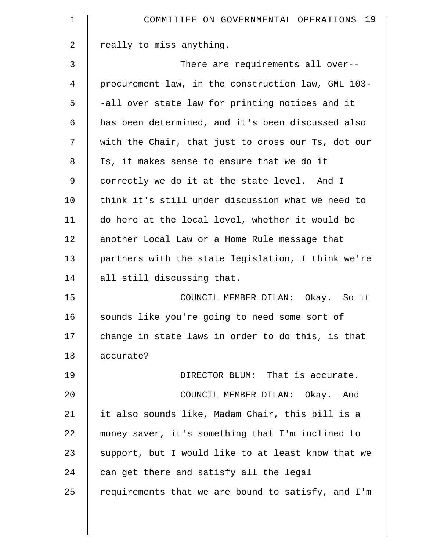| $\mathbf 1$    | COMMITTEE ON GOVERNMENTAL OPERATIONS 19            |
|----------------|----------------------------------------------------|
| $\overline{a}$ | really to miss anything.                           |
| 3              | There are requirements all over--                  |
| 4              | procurement law, in the construction law, GML 103- |
| 5              | -all over state law for printing notices and it    |
| 6              | has been determined, and it's been discussed also  |
| 7              | with the Chair, that just to cross our Ts, dot our |
| 8              | Is, it makes sense to ensure that we do it         |
| 9              | correctly we do it at the state level. And I       |
| 10             | think it's still under discussion what we need to  |
| 11             | do here at the local level, whether it would be    |
| 12             | another Local Law or a Home Rule message that      |
| 13             | partners with the state legislation, I think we're |
| 14             | all still discussing that.                         |
| 15             | COUNCIL MEMBER DILAN: Okay. So it                  |
| 16             | sounds like you're going to need some sort of      |
| 17             | change in state laws in order to do this, is that  |
| 18             | accurate?                                          |
| 19             | DIRECTOR BLUM: That is accurate.                   |
| 20             | COUNCIL MEMBER DILAN: Okay. And                    |
| 21             | it also sounds like, Madam Chair, this bill is a   |
| 22             | money saver, it's something that I'm inclined to   |
| 23             | support, but I would like to at least know that we |
| 24             | can get there and satisfy all the legal            |
| 25             | requirements that we are bound to satisfy, and I'm |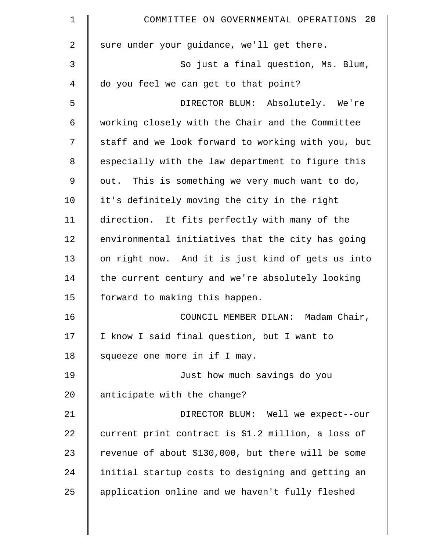| $\mathbf 1$    | COMMITTEE ON GOVERNMENTAL OPERATIONS 20            |
|----------------|----------------------------------------------------|
| $\overline{2}$ | sure under your guidance, we'll get there.         |
| 3              | So just a final question, Ms. Blum,                |
| 4              | do you feel we can get to that point?              |
| 5              | DIRECTOR BLUM: Absolutely. We're                   |
| 6              | working closely with the Chair and the Committee   |
| 7              | staff and we look forward to working with you, but |
| 8              | especially with the law department to figure this  |
| $\mathsf 9$    | out. This is something we very much want to do,    |
| 10             | it's definitely moving the city in the right       |
| 11             | direction. It fits perfectly with many of the      |
| 12             | environmental initiatives that the city has going  |
| 13             | on right now. And it is just kind of gets us into  |
| 14             | the current century and we're absolutely looking   |
| 15             | forward to making this happen.                     |
| 16             | Madam Chair,<br>COUNCIL MEMBER DILAN:              |
| 17             | I know I said final question, but I want to        |
| 18             | squeeze one more in if I may.                      |
| 19             | Just how much savings do you                       |
| 20             | anticipate with the change?                        |
| 21             | DIRECTOR BLUM: Well we expect--our                 |
| 22             | current print contract is \$1.2 million, a loss of |
| 23             | revenue of about \$130,000, but there will be some |
| 24             | initial startup costs to designing and getting an  |
| 25             | application online and we haven't fully fleshed    |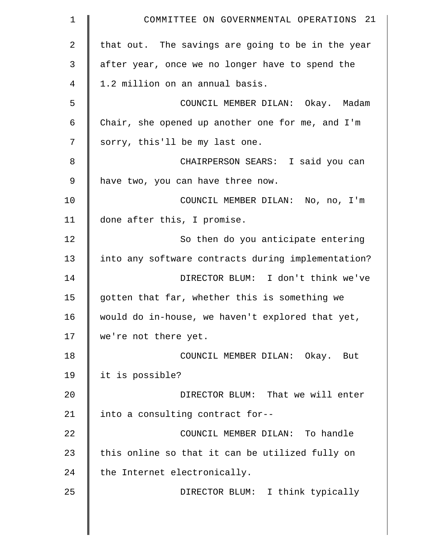| $\mathbf 1$    | COMMITTEE ON GOVERNMENTAL OPERATIONS 21            |
|----------------|----------------------------------------------------|
| $\overline{a}$ | that out. The savings are going to be in the year  |
| 3              | after year, once we no longer have to spend the    |
| 4              | 1.2 million on an annual basis.                    |
| 5              | COUNCIL MEMBER DILAN: Okay. Madam                  |
| 6              | Chair, she opened up another one for me, and I'm   |
| 7              | sorry, this'll be my last one.                     |
| 8              | CHAIRPERSON SEARS: I said you can                  |
| 9              | have two, you can have three now.                  |
| 10             | COUNCIL MEMBER DILAN: No, no, I'm                  |
| 11             | done after this, I promise.                        |
| 12             | So then do you anticipate entering                 |
| 13             | into any software contracts during implementation? |
| 14             | DIRECTOR BLUM: I don't think we've                 |
| 15             | gotten that far, whether this is something we      |
| 16             | would do in-house, we haven't explored that yet,   |
| 17             | we're not there yet.                               |
| 18             | COUNCIL MEMBER DILAN: Okay. But                    |
| 19             | it is possible?                                    |
| 20             | DIRECTOR BLUM: That we will enter                  |
| 21             | into a consulting contract for--                   |
| 22             | COUNCIL MEMBER DILAN: To handle                    |
| 23             | this online so that it can be utilized fully on    |
| 24             | the Internet electronically.                       |
| 25             | DIRECTOR BLUM: I think typically                   |
|                |                                                    |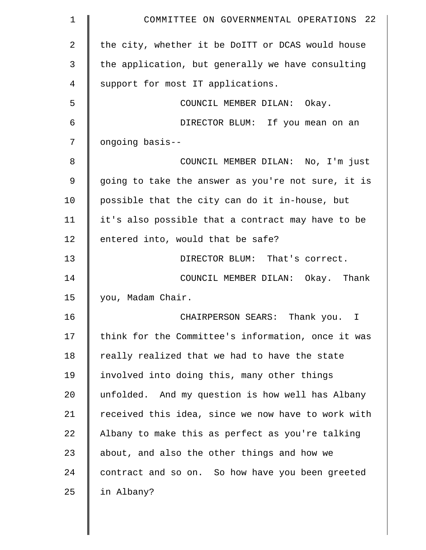| 1           | COMMITTEE ON GOVERNMENTAL OPERATIONS 22            |
|-------------|----------------------------------------------------|
| 2           | the city, whether it be DoITT or DCAS would house  |
| 3           | the application, but generally we have consulting  |
| 4           | support for most IT applications.                  |
| 5           | COUNCIL MEMBER DILAN: Okay.                        |
| 6           | DIRECTOR BLUM: If you mean on an                   |
| 7           | ongoing basis--                                    |
| 8           | COUNCIL MEMBER DILAN: No, I'm just                 |
| $\mathsf 9$ | going to take the answer as you're not sure, it is |
| 10          | possible that the city can do it in-house, but     |
| 11          | it's also possible that a contract may have to be  |
| 12          | entered into, would that be safe?                  |
| 13          | DIRECTOR BLUM: That's correct.                     |
| 14          | COUNCIL MEMBER DILAN: Okay. Thank                  |
| 15          | you, Madam Chair.                                  |
| 16          | CHAIRPERSON SEARS: Thank you. I                    |
| 17          | think for the Committee's information, once it was |
| 18          | really realized that we had to have the state      |
| 19          | involved into doing this, many other things        |
| 20          | unfolded. And my question is how well has Albany   |
| 21          | received this idea, since we now have to work with |
| 22          | Albany to make this as perfect as you're talking   |
| 23          | about, and also the other things and how we        |
| 24          | contract and so on. So how have you been greeted   |
| 25          | in Albany?                                         |
|             |                                                    |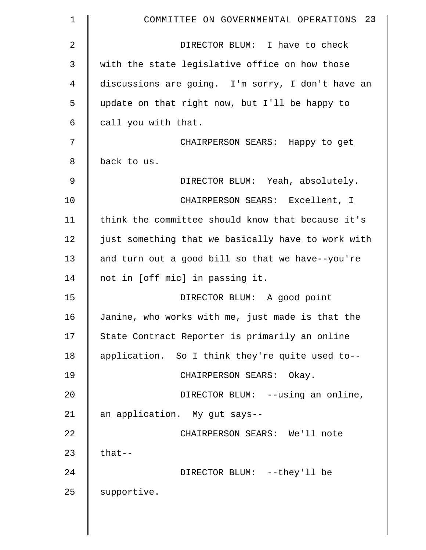| 1  | COMMITTEE ON GOVERNMENTAL OPERATIONS 23            |
|----|----------------------------------------------------|
| 2  | DIRECTOR BLUM: I have to check                     |
| 3  | with the state legislative office on how those     |
| 4  | discussions are going. I'm sorry, I don't have an  |
| 5  | update on that right now, but I'll be happy to     |
| 6  | call you with that.                                |
| 7  | CHAIRPERSON SEARS: Happy to get                    |
| 8  | back to us.                                        |
| 9  | DIRECTOR BLUM: Yeah, absolutely.                   |
| 10 | CHAIRPERSON SEARS: Excellent, I                    |
| 11 | think the committee should know that because it's  |
| 12 | just something that we basically have to work with |
| 13 | and turn out a good bill so that we have--you're   |
| 14 | not in [off mic] in passing it.                    |
| 15 | DIRECTOR BLUM: A good point                        |
| 16 | Janine, who works with me, just made is that the   |
| 17 | State Contract Reporter is primarily an online     |
| 18 | application. So I think they're quite used to--    |
| 19 | CHAIRPERSON SEARS: Okay.                           |
| 20 | DIRECTOR BLUM: --using an online,                  |
| 21 | an application. My gut says--                      |
| 22 | CHAIRPERSON SEARS: We'll note                      |
| 23 | $that--$                                           |
| 24 | DIRECTOR BLUM: --they'll be                        |
| 25 | supportive.                                        |
|    |                                                    |

 $\parallel$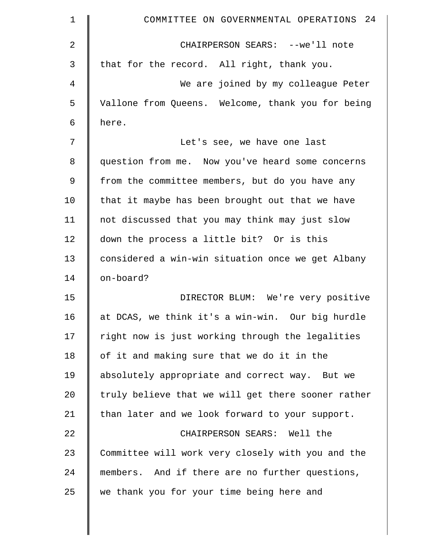| $\mathbf 1$ | COMMITTEE ON GOVERNMENTAL OPERATIONS 24            |
|-------------|----------------------------------------------------|
| 2           | CHAIRPERSON SEARS: --we'll note                    |
| 3           | that for the record. All right, thank you.         |
| 4           | We are joined by my colleague Peter                |
| 5           | Vallone from Queens. Welcome, thank you for being  |
| 6           | here.                                              |
| 7           | Let's see, we have one last                        |
| 8           | question from me. Now you've heard some concerns   |
| 9           | from the committee members, but do you have any    |
| 10          | that it maybe has been brought out that we have    |
| 11          | not discussed that you may think may just slow     |
| 12          | down the process a little bit? Or is this          |
| 13          | considered a win-win situation once we get Albany  |
| 14          | on-board?                                          |
| 15          | DIRECTOR BLUM: We're very positive                 |
| 16          | at DCAS, we think it's a win-win. Our big hurdle   |
| 17          | right now is just working through the legalities   |
| 18          | of it and making sure that we do it in the         |
| 19          | absolutely appropriate and correct way. But we     |
| 20          | truly believe that we will get there sooner rather |
| 21          | than later and we look forward to your support.    |
| 22          | CHAIRPERSON SEARS: Well the                        |
| 23          | Committee will work very closely with you and the  |
| 24          | members. And if there are no further questions,    |
| 25          | we thank you for your time being here and          |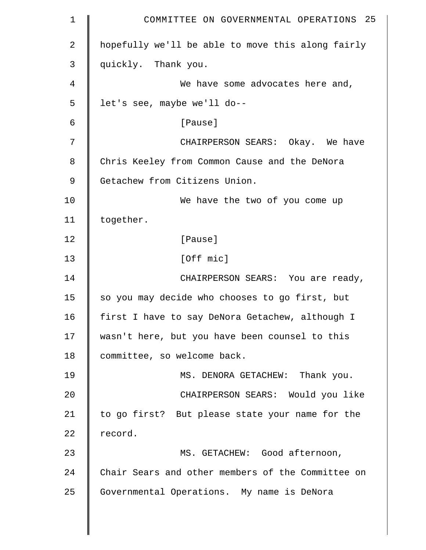| $\mathbf 1$ | COMMITTEE ON GOVERNMENTAL OPERATIONS 25           |
|-------------|---------------------------------------------------|
| 2           | hopefully we'll be able to move this along fairly |
| 3           | quickly. Thank you.                               |
| 4           | We have some advocates here and,                  |
| 5           | let's see, maybe we'll do--                       |
| 6           | [Pause]                                           |
| 7           | CHAIRPERSON SEARS: Okay. We have                  |
| 8           | Chris Keeley from Common Cause and the DeNora     |
| $\mathsf 9$ | Getachew from Citizens Union.                     |
| 10          | We have the two of you come up                    |
| 11          | together.                                         |
| 12          | [Pause]                                           |
| 13          | [Off mic]                                         |
| 14          | CHAIRPERSON SEARS: You are ready,                 |
| 15          | so you may decide who chooses to go first, but    |
| 16          | first I have to say DeNora Getachew, although I   |
| 17          | wasn't here, but you have been counsel to this    |
| 18          | committee, so welcome back.                       |
| 19          | MS. DENORA GETACHEW: Thank you.                   |
| 20          | CHAIRPERSON SEARS: Would you like                 |
| 21          | to go first? But please state your name for the   |
| 22          | record.                                           |
| 23          | MS. GETACHEW: Good afternoon,                     |
| 24          | Chair Sears and other members of the Committee on |
| 25          | Governmental Operations. My name is DeNora        |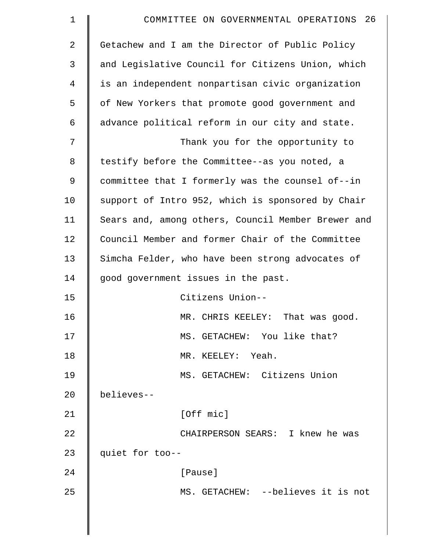| $\mathbf 1$ | COMMITTEE ON GOVERNMENTAL OPERATIONS 26            |
|-------------|----------------------------------------------------|
| 2           | Getachew and I am the Director of Public Policy    |
| 3           | and Legislative Council for Citizens Union, which  |
| 4           | is an independent nonpartisan civic organization   |
| 5           | of New Yorkers that promote good government and    |
| 6           | advance political reform in our city and state.    |
| 7           | Thank you for the opportunity to                   |
| 8           | testify before the Committee--as you noted, a      |
| 9           | committee that I formerly was the counsel of--in   |
| 10          | support of Intro 952, which is sponsored by Chair  |
| 11          | Sears and, among others, Council Member Brewer and |
| 12          | Council Member and former Chair of the Committee   |
| 13          | Simcha Felder, who have been strong advocates of   |
| 14          | good government issues in the past.                |
| 15          | Citizens Union--                                   |
| 16          | MR. CHRIS KEELEY: That was good.                   |
| 17          | MS. GETACHEW: You like that?                       |
| 18          | MR. KEELEY: Yeah.                                  |
| 19          | MS. GETACHEW: Citizens Union                       |
| 20          | believes--                                         |
| 21          | [Off mic]                                          |
| 22          | CHAIRPERSON SEARS: I knew he was                   |
| 23          | quiet for too--                                    |
| 24          | [Pause]                                            |
| 25          | MS. GETACHEW: -- believes it is not                |
|             |                                                    |
|             |                                                    |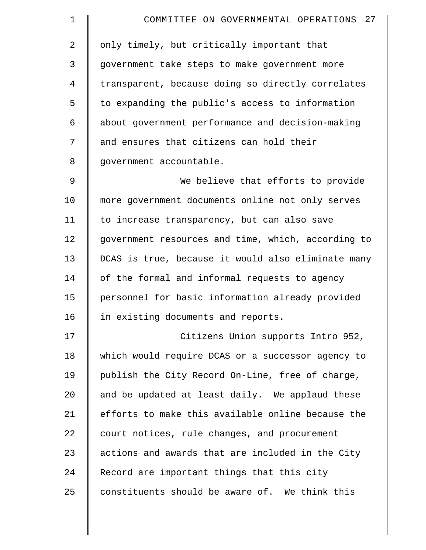| $\mathbf 1$    | COMMITTEE ON GOVERNMENTAL OPERATIONS 27            |
|----------------|----------------------------------------------------|
| $\overline{2}$ | only timely, but critically important that         |
| 3              | government take steps to make government more      |
| 4              | transparent, because doing so directly correlates  |
| 5              | to expanding the public's access to information    |
| 6              | about government performance and decision-making   |
| 7              | and ensures that citizens can hold their           |
| 8              | government accountable.                            |
| $\mathcal{G}$  | We believe that efforts to provide                 |
| 10             | more government documents online not only serves   |
| 11             | to increase transparency, but can also save        |
| 12             | government resources and time, which, according to |
| 13             | DCAS is true, because it would also eliminate many |
| 14             | of the formal and informal requests to agency      |
| 15             | personnel for basic information already provided   |
| 16             | in existing documents and reports.                 |
| 17             | Citizens Union supports Intro 952,                 |
| 18             | which would require DCAS or a successor agency to  |
| 19             | publish the City Record On-Line, free of charge,   |
| 20             | and be updated at least daily. We applaud these    |
| 21             | efforts to make this available online because the  |
| 22             | court notices, rule changes, and procurement       |
| 23             | actions and awards that are included in the City   |
| 24             | Record are important things that this city         |
| 25             | constituents should be aware of. We think this     |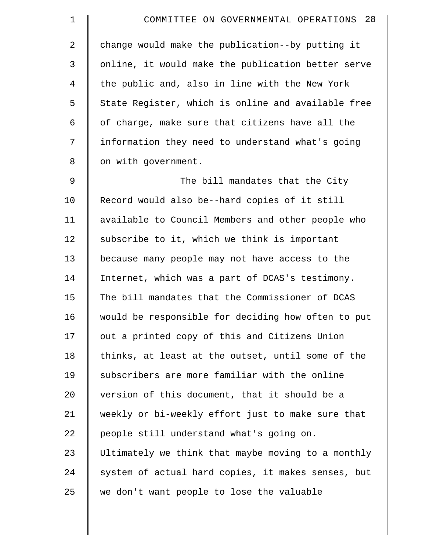| 1           | COMMITTEE ON GOVERNMENTAL OPERATIONS 28            |
|-------------|----------------------------------------------------|
| 2           | change would make the publication--by putting it   |
| 3           | online, it would make the publication better serve |
| 4           | the public and, also in line with the New York     |
| 5           | State Register, which is online and available free |
| 6           | of charge, make sure that citizens have all the    |
| 7           | information they need to understand what's going   |
| 8           | on with government.                                |
| $\mathsf 9$ | The bill mandates that the City                    |
| 10          | Record would also be--hard copies of it still      |
| 11          | available to Council Members and other people who  |
| 12          | subscribe to it, which we think is important       |
| 13          | because many people may not have access to the     |
| 14          | Internet, which was a part of DCAS's testimony.    |
| 15          | The bill mandates that the Commissioner of DCAS    |
| 16          | would be responsible for deciding how often to put |
| 17          | out a printed copy of this and Citizens Union      |
| 18          | thinks, at least at the outset, until some of the  |
| 19          | subscribers are more familiar with the online      |
| 20          | version of this document, that it should be a      |
| 21          | weekly or bi-weekly effort just to make sure that  |
| 22          | people still understand what's going on.           |
| 23          | Ultimately we think that maybe moving to a monthly |
| 24          | system of actual hard copies, it makes senses, but |
| 25          | we don't want people to lose the valuable          |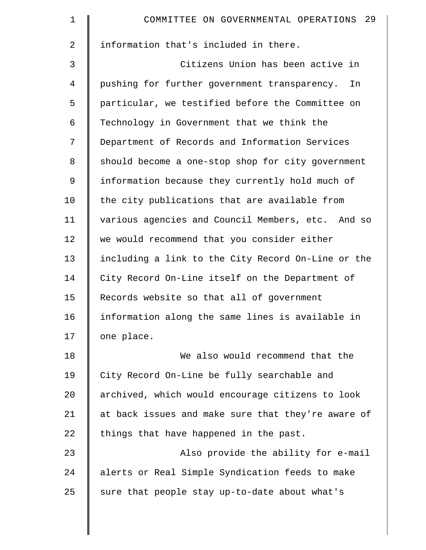| $\mathbf 1$    | COMMITTEE ON GOVERNMENTAL OPERATIONS 29            |
|----------------|----------------------------------------------------|
| $\overline{2}$ | information that's included in there.              |
| 3              | Citizens Union has been active in                  |
| 4              | pushing for further government transparency.<br>In |
| 5              | particular, we testified before the Committee on   |
| 6              | Technology in Government that we think the         |
| 7              | Department of Records and Information Services     |
| 8              | should become a one-stop shop for city government  |
| 9              | information because they currently hold much of    |
| 10             | the city publications that are available from      |
| 11             | various agencies and Council Members, etc. And so  |
| 12             | we would recommend that you consider either        |
| 13             | including a link to the City Record On-Line or the |
| 14             | City Record On-Line itself on the Department of    |
| 15             | Records website so that all of government          |
| 16             | information along the same lines is available in   |
| 17             | one place.                                         |
| 18             | We also would recommend that the                   |
| 19             | City Record On-Line be fully searchable and        |
| 20             | archived, which would encourage citizens to look   |
| 21             | at back issues and make sure that they're aware of |
| 22             | things that have happened in the past.             |
| 23             | Also provide the ability for e-mail                |
| 24             | alerts or Real Simple Syndication feeds to make    |
| 25             | sure that people stay up-to-date about what's      |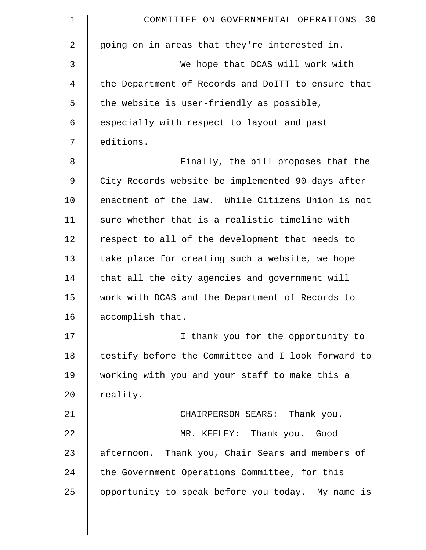| $\mathbf 1$ | COMMITTEE ON GOVERNMENTAL OPERATIONS 30            |
|-------------|----------------------------------------------------|
| 2           | going on in areas that they're interested in.      |
| 3           | We hope that DCAS will work with                   |
| 4           | the Department of Records and DoITT to ensure that |
| 5           | the website is user-friendly as possible,          |
| 6           | especially with respect to layout and past         |
| 7           | editions.                                          |
| 8           | Finally, the bill proposes that the                |
| $\mathsf 9$ | City Records website be implemented 90 days after  |
| 10          | enactment of the law. While Citizens Union is not  |
| 11          | sure whether that is a realistic timeline with     |
| 12          | respect to all of the development that needs to    |
| 13          | take place for creating such a website, we hope    |
| 14          | that all the city agencies and government will     |
| 15          | work with DCAS and the Department of Records to    |
| 16          | accomplish that.                                   |
| 17          | I thank you for the opportunity to                 |
| 18          | testify before the Committee and I look forward to |
| 19          | working with you and your staff to make this a     |
| 20          | reality.                                           |
| 21          | CHAIRPERSON SEARS: Thank you.                      |
| 22          | MR. KEELEY: Thank you. Good                        |
| 23          | afternoon. Thank you, Chair Sears and members of   |
| 24          | the Government Operations Committee, for this      |
| 25          | opportunity to speak before you today. My name is  |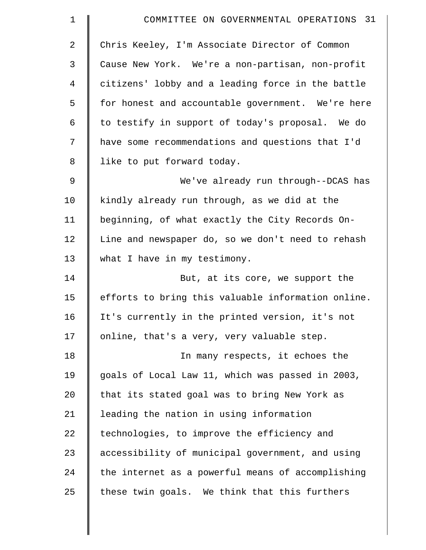| $\mathbf 1$ | COMMITTEE ON GOVERNMENTAL OPERATIONS 31            |
|-------------|----------------------------------------------------|
| 2           | Chris Keeley, I'm Associate Director of Common     |
| 3           | Cause New York. We're a non-partisan, non-profit   |
| 4           | citizens' lobby and a leading force in the battle  |
| 5           | for honest and accountable government. We're here  |
| 6           | to testify in support of today's proposal. We do   |
| 7           | have some recommendations and questions that I'd   |
| 8           | like to put forward today.                         |
| $\mathsf 9$ | We've already run through--DCAS has                |
| 10          | kindly already run through, as we did at the       |
| 11          | beginning, of what exactly the City Records On-    |
| 12          | Line and newspaper do, so we don't need to rehash  |
| 13          | what I have in my testimony.                       |
| 14          | But, at its core, we support the                   |
| 15          | efforts to bring this valuable information online. |
| 16          | It's currently in the printed version, it's not    |
| 17          | online, that's a very, very valuable step.         |
| 18          | In many respects, it echoes the                    |
| 19          | goals of Local Law 11, which was passed in 2003,   |
| 20          | that its stated goal was to bring New York as      |
| 21          | leading the nation in using information            |
| 22          | technologies, to improve the efficiency and        |
| 23          | accessibility of municipal government, and using   |
| 24          | the internet as a powerful means of accomplishing  |
| 25          | these twin goals. We think that this furthers      |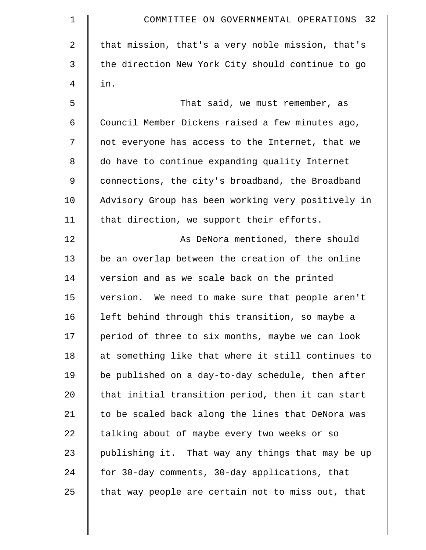| 1  | COMMITTEE ON GOVERNMENTAL OPERATIONS 32            |
|----|----------------------------------------------------|
| 2  | that mission, that's a very noble mission, that's  |
| 3  | the direction New York City should continue to go  |
| 4  | in.                                                |
| 5  | That said, we must remember, as                    |
| 6  | Council Member Dickens raised a few minutes ago,   |
| 7  | not everyone has access to the Internet, that we   |
| 8  | do have to continue expanding quality Internet     |
| 9  | connections, the city's broadband, the Broadband   |
| 10 | Advisory Group has been working very positively in |
| 11 | that direction, we support their efforts.          |
| 12 | As DeNora mentioned, there should                  |
| 13 | be an overlap between the creation of the online   |
| 14 | version and as we scale back on the printed        |
| 15 | version. We need to make sure that people aren't   |
| 16 | left behind through this transition, so maybe a    |
| 17 | period of three to six months, maybe we can look   |
| 18 | at something like that where it still continues to |
| 19 | be published on a day-to-day schedule, then after  |
| 20 | that initial transition period, then it can start  |
| 21 | to be scaled back along the lines that DeNora was  |
| 22 | talking about of maybe every two weeks or so       |
| 23 | publishing it. That way any things that may be up  |
| 24 | for 30-day comments, 30-day applications, that     |
| 25 | that way people are certain not to miss out, that  |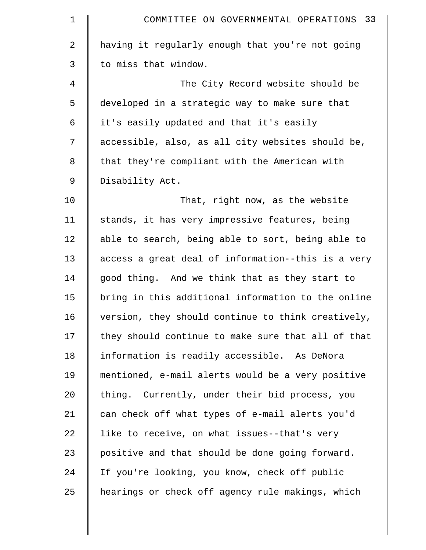| $\mathbf 1$ | COMMITTEE ON GOVERNMENTAL OPERATIONS 33            |
|-------------|----------------------------------------------------|
| 2           | having it regularly enough that you're not going   |
| 3           | to miss that window.                               |
| 4           | The City Record website should be                  |
| 5           | developed in a strategic way to make sure that     |
| 6           | it's easily updated and that it's easily           |
| 7           | accessible, also, as all city websites should be,  |
| 8           | that they're compliant with the American with      |
| 9           | Disability Act.                                    |
| 10          | That, right now, as the website                    |
| 11          | stands, it has very impressive features, being     |
| 12          | able to search, being able to sort, being able to  |
| 13          | access a great deal of information--this is a very |
| 14          | good thing. And we think that as they start to     |
| 15          | bring in this additional information to the online |
| 16          | version, they should continue to think creatively, |
| 17          | they should continue to make sure that all of that |
| 18          | information is readily accessible. As DeNora       |
| 19          | mentioned, e-mail alerts would be a very positive  |
| 20          | thing. Currently, under their bid process, you     |
| 21          | can check off what types of e-mail alerts you'd    |
| 22          | like to receive, on what issues--that's very       |
| 23          | positive and that should be done going forward.    |
| 24          | If you're looking, you know, check off public      |
| 25          | hearings or check off agency rule makings, which   |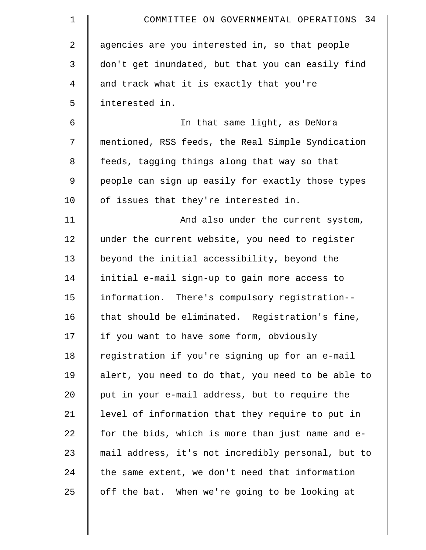| $\mathbf 1$    | COMMITTEE ON GOVERNMENTAL OPERATIONS 34            |
|----------------|----------------------------------------------------|
| $\overline{2}$ | agencies are you interested in, so that people     |
| 3              | don't get inundated, but that you can easily find  |
| 4              | and track what it is exactly that you're           |
| 5              | interested in.                                     |
| 6              | In that same light, as DeNora                      |
| 7              | mentioned, RSS feeds, the Real Simple Syndication  |
| 8              | feeds, tagging things along that way so that       |
| 9              | people can sign up easily for exactly those types  |
| 10             | of issues that they're interested in.              |
| 11             | And also under the current system,                 |
| 12             | under the current website, you need to register    |
| 13             | beyond the initial accessibility, beyond the       |
| 14             | initial e-mail sign-up to gain more access to      |
| 15             | information. There's compulsory registration--     |
| 16             | that should be eliminated. Registration's fine,    |
| 17             | if you want to have some form, obviously           |
| 18             | registration if you're signing up for an e-mail    |
| 19             | alert, you need to do that, you need to be able to |
| 20             | put in your e-mail address, but to require the     |
| 21             | level of information that they require to put in   |
| 22             | for the bids, which is more than just name and e-  |
| 23             | mail address, it's not incredibly personal, but to |
| 24             | the same extent, we don't need that information    |
| 25             | off the bat. When we're going to be looking at     |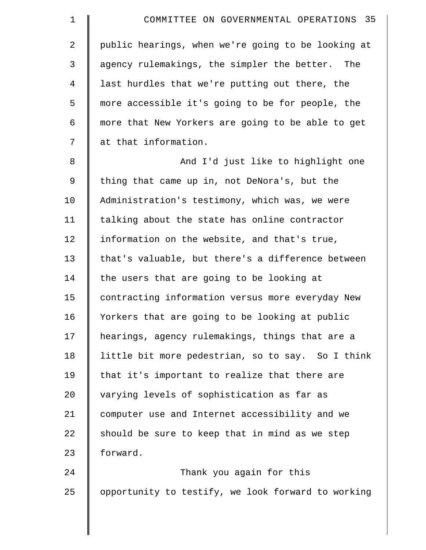| $\mathbf 1$    | COMMITTEE ON GOVERNMENTAL OPERATIONS 35            |
|----------------|----------------------------------------------------|
| $\overline{2}$ | public hearings, when we're going to be looking at |
| 3              | agency rulemakings, the simpler the better. The    |
| $\overline{4}$ | last hurdles that we're putting out there, the     |
| 5              | more accessible it's going to be for people, the   |
| 6              | more that New Yorkers are going to be able to get  |
| 7              | at that information.                               |
| 8              | And I'd just like to highlight one                 |
| 9              | thing that came up in, not DeNora's, but the       |
| 10             | Administration's testimony, which was, we were     |
| 11             | talking about the state has online contractor      |
| 12             | information on the website, and that's true,       |
| 13             | that's valuable, but there's a difference between  |
| 14             | the users that are going to be looking at          |
| 15             | contracting information versus more everyday New   |
| 16             | Yorkers that are going to be looking at public     |
| 17             | hearings, agency rulemakings, things that are a    |
| 18             | little bit more pedestrian, so to say. So I think  |
| 19             | that it's important to realize that there are      |
| 20             | varying levels of sophistication as far as         |
| 21             | computer use and Internet accessibility and we     |
| 22             | should be sure to keep that in mind as we step     |
| 23             | forward.                                           |
| 24             | Thank you again for this                           |
| 25             | opportunity to testify, we look forward to working |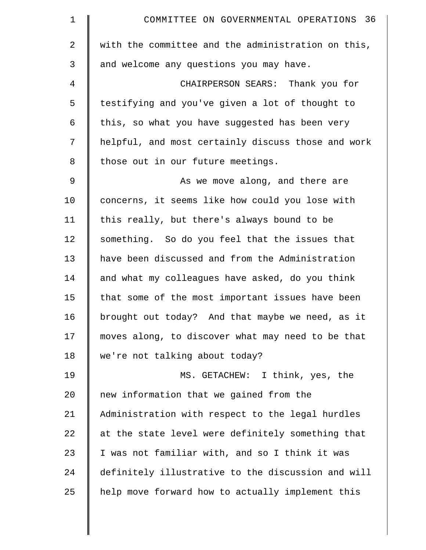| $\mathbf 1$    | COMMITTEE ON GOVERNMENTAL OPERATIONS 36            |
|----------------|----------------------------------------------------|
| $\overline{2}$ | with the committee and the administration on this, |
| 3              | and welcome any questions you may have.            |
| 4              | CHAIRPERSON SEARS: Thank you for                   |
| 5              | testifying and you've given a lot of thought to    |
| 6              | this, so what you have suggested has been very     |
| 7              | helpful, and most certainly discuss those and work |
| 8              | those out in our future meetings.                  |
| 9              | As we move along, and there are                    |
| 10             | concerns, it seems like how could you lose with    |
| 11             | this really, but there's always bound to be        |
| 12             | something. So do you feel that the issues that     |
| 13             | have been discussed and from the Administration    |
| 14             | and what my colleagues have asked, do you think    |
| 15             | that some of the most important issues have been   |
| 16             | brought out today? And that maybe we need, as it   |
| 17             | moves along, to discover what may need to be that  |
| 18             | we're not talking about today?                     |
| 19             | MS. GETACHEW: I think, yes, the                    |
| 20             | new information that we gained from the            |
| 21             | Administration with respect to the legal hurdles   |
| 22             | at the state level were definitely something that  |
| 23             | I was not familiar with, and so I think it was     |
| 24             | definitely illustrative to the discussion and will |
| 25             | help move forward how to actually implement this   |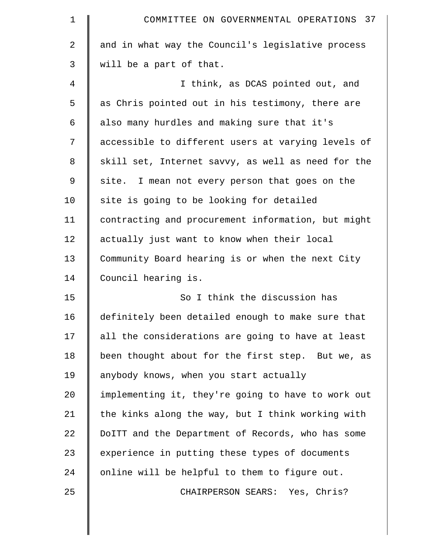| $\mathbf 1$    | COMMITTEE ON GOVERNMENTAL OPERATIONS 37            |
|----------------|----------------------------------------------------|
| $\overline{a}$ | and in what way the Council's legislative process  |
| 3              | will be a part of that.                            |
| 4              | I think, as DCAS pointed out, and                  |
| 5              | as Chris pointed out in his testimony, there are   |
| 6              | also many hurdles and making sure that it's        |
| 7              | accessible to different users at varying levels of |
| 8              | skill set, Internet savvy, as well as need for the |
| 9              | site. I mean not every person that goes on the     |
| 10             | site is going to be looking for detailed           |
| 11             | contracting and procurement information, but might |
| 12             | actually just want to know when their local        |
| 13             | Community Board hearing is or when the next City   |
| 14             | Council hearing is.                                |
| 15             | So I think the discussion has                      |
| 16             | definitely been detailed enough to make sure that  |
| 17             | all the considerations are going to have at least  |
| 18             | been thought about for the first step. But we, as  |
| 19             | anybody knows, when you start actually             |
| 20             | implementing it, they're going to have to work out |
| 21             | the kinks along the way, but I think working with  |
| 22             | DoITT and the Department of Records, who has some  |
| 23             | experience in putting these types of documents     |
| 24             | online will be helpful to them to figure out.      |
| 25             | CHAIRPERSON SEARS: Yes, Chris?                     |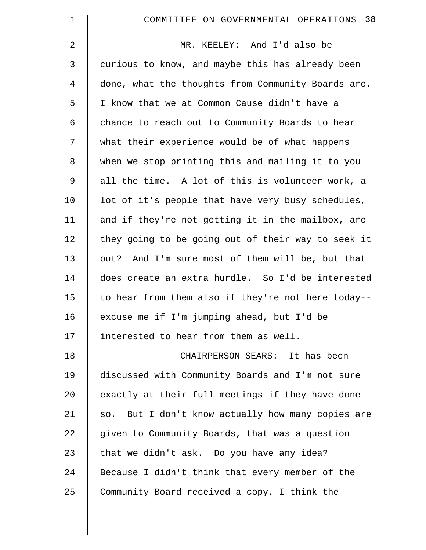| $\mathbf 1$    | COMMITTEE ON GOVERNMENTAL OPERATIONS 38            |
|----------------|----------------------------------------------------|
| 2              | MR. KEELEY: And I'd also be                        |
| 3              | curious to know, and maybe this has already been   |
| $\overline{4}$ | done, what the thoughts from Community Boards are. |
| 5              | I know that we at Common Cause didn't have a       |
| 6              | chance to reach out to Community Boards to hear    |
| 7              | what their experience would be of what happens     |
| 8              | when we stop printing this and mailing it to you   |
| 9              | all the time. A lot of this is volunteer work, a   |
| 10             | lot of it's people that have very busy schedules,  |
| 11             | and if they're not getting it in the mailbox, are  |
| 12             | they going to be going out of their way to seek it |
| 13             | out? And I'm sure most of them will be, but that   |
| 14             | does create an extra hurdle. So I'd be interested  |
| 15             | to hear from them also if they're not here today-- |
| 16             | excuse me if I'm jumping ahead, but I'd be         |
| 17             | interested to hear from them as well.              |
| 18             | CHAIRPERSON SEARS: It has been                     |
| 19             | discussed with Community Boards and I'm not sure   |
| 20             | exactly at their full meetings if they have done   |
| 21             | so. But I don't know actually how many copies are  |
| 22             | given to Community Boards, that was a question     |
| 23             | that we didn't ask. Do you have any idea?          |
| 24             | Because I didn't think that every member of the    |
| 25             | Community Board received a copy, I think the       |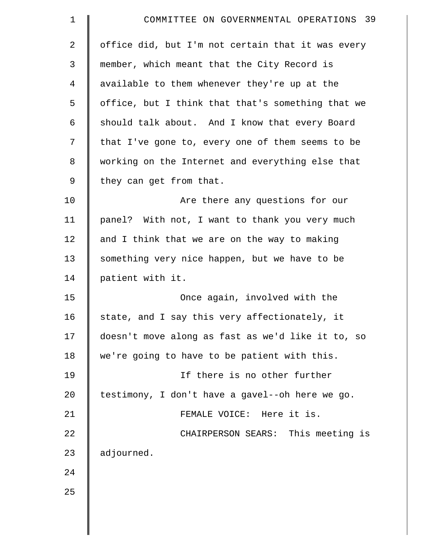| $\mathbf 1$ | COMMITTEE ON GOVERNMENTAL OPERATIONS 39           |
|-------------|---------------------------------------------------|
| 2           | office did, but I'm not certain that it was every |
| 3           | member, which meant that the City Record is       |
| 4           | available to them whenever they're up at the      |
| 5           | office, but I think that that's something that we |
| 6           | should talk about. And I know that every Board    |
| 7           | that I've gone to, every one of them seems to be  |
| 8           | working on the Internet and everything else that  |
| 9           | they can get from that.                           |
| 10          | Are there any questions for our                   |
| 11          | panel? With not, I want to thank you very much    |
| 12          | and I think that we are on the way to making      |
| 13          | something very nice happen, but we have to be     |
| 14          | patient with it.                                  |
| 15          | Once again, involved with the                     |
| 16          | state, and I say this very affectionately, it     |
| 17          | doesn't move along as fast as we'd like it to, so |
| 18          | we're going to have to be patient with this.      |
| 19          | If there is no other further                      |
| 20          | testimony, I don't have a gavel--oh here we go.   |
| 21          | FEMALE VOICE: Here it is.                         |
| 22          | CHAIRPERSON SEARS: This meeting is                |
| 23          | adjourned.                                        |
| 24          |                                                   |
| 25          |                                                   |
|             |                                                   |
|             |                                                   |